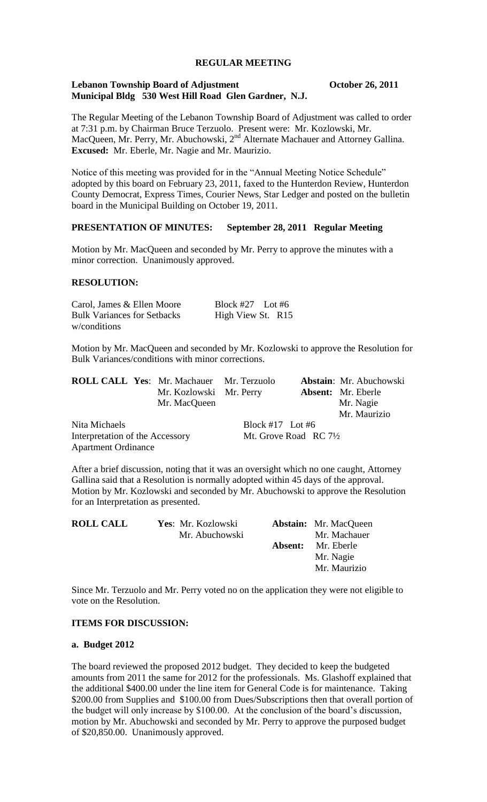# **REGULAR MEETING**

# **Lebanon Township Board of Adjustment October 26, 2011 Municipal Bldg 530 West Hill Road Glen Gardner, N.J.**

The Regular Meeting of the Lebanon Township Board of Adjustment was called to order at 7:31 p.m. by Chairman Bruce Terzuolo. Present were: Mr. Kozlowski, Mr. MacQueen, Mr. Perry, Mr. Abuchowski, 2<sup>nd</sup> Alternate Machauer and Attorney Gallina. **Excused:** Mr. Eberle, Mr. Nagie and Mr. Maurizio.

Notice of this meeting was provided for in the "Annual Meeting Notice Schedule" adopted by this board on February 23, 2011, faxed to the Hunterdon Review, Hunterdon County Democrat, Express Times, Courier News, Star Ledger and posted on the bulletin board in the Municipal Building on October 19, 2011.

# **PRESENTATION OF MINUTES: September 28, 2011 Regular Meeting**

Motion by Mr. MacQueen and seconded by Mr. Perry to approve the minutes with a minor correction. Unanimously approved.

# **RESOLUTION:**

| Carol, James & Ellen Moore         | Block #27 Lot #6  |  |
|------------------------------------|-------------------|--|
| <b>Bulk Variances for Setbacks</b> | High View St. R15 |  |
| w/conditions                       |                   |  |

Motion by Mr. MacQueen and seconded by Mr. Kozlowski to approve the Resolution for Bulk Variances/conditions with minor corrections.

|                                 |  | <b>ROLL CALL Yes: Mr. Machauer Mr. Terzuolo</b> |                                  |  | Abstain: Mr. Abuchowski   |
|---------------------------------|--|-------------------------------------------------|----------------------------------|--|---------------------------|
|                                 |  | Mr. Kozlowski Mr. Perry                         |                                  |  | <b>Absent:</b> Mr. Eberle |
|                                 |  | Mr. MacQueen                                    |                                  |  | Mr. Nagie                 |
|                                 |  |                                                 |                                  |  | Mr. Maurizio              |
| Nita Michaels                   |  |                                                 | Block #17 Lot #6                 |  |                           |
| Interpretation of the Accessory |  |                                                 | Mt. Grove Road RC $7\frac{1}{2}$ |  |                           |
| <b>Apartment Ordinance</b>      |  |                                                 |                                  |  |                           |

After a brief discussion, noting that it was an oversight which no one caught, Attorney Gallina said that a Resolution is normally adopted within 45 days of the approval. Motion by Mr. Kozlowski and seconded by Mr. Abuchowski to approve the Resolution for an Interpretation as presented.

| <b>ROLL CALL</b> | Yes: Mr. Kozlowski |         | <b>Abstain:</b> Mr. MacQueen |
|------------------|--------------------|---------|------------------------------|
|                  | Mr. Abuchowski     |         | Mr. Machauer                 |
|                  |                    | Absent: | Mr. Eberle                   |
|                  |                    |         | Mr. Nagie                    |
|                  |                    |         | Mr. Maurizio                 |

Since Mr. Terzuolo and Mr. Perry voted no on the application they were not eligible to vote on the Resolution.

# **ITEMS FOR DISCUSSION:**

# **a. Budget 2012**

The board reviewed the proposed 2012 budget. They decided to keep the budgeted amounts from 2011 the same for 2012 for the professionals. Ms. Glashoff explained that the additional \$400.00 under the line item for General Code is for maintenance. Taking \$200.00 from Supplies and \$100.00 from Dues/Subscriptions then that overall portion of the budget will only increase by \$100.00. At the conclusion of the board's discussion, motion by Mr. Abuchowski and seconded by Mr. Perry to approve the purposed budget of \$20,850.00. Unanimously approved.